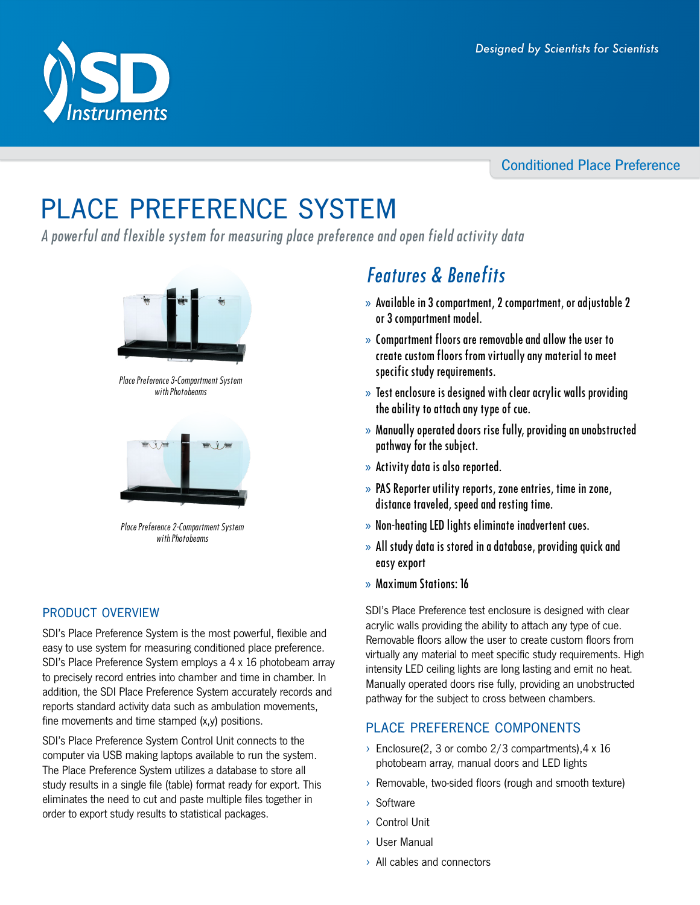# Conditioned Place Preference

# place preference system

A powerful and flexible system for measuring place preference and open field activity data



Place Preference 3-Compartment System with Photobeams



Place Preference 2-Compartment System with Photobeams

# product overview

SDI's Place Preference System is the most powerful, flexible and easy to use system for measuring conditioned place preference. SDI's Place Preference System employs a 4 x 16 photobeam array to precisely record entries into chamber and time in chamber. In addition, the SDI Place Preference System accurately records and reports standard activity data such as ambulation movements, fine movements and time stamped (x,y) positions.

SDI's Place Preference System Control Unit connects to the computer via USB making laptops available to run the system. The Place Preference System utilizes a database to store all study results in a single file (table) format ready for export. This eliminates the need to cut and paste multiple files together in order to export study results to statistical packages.

# Features & Benefits

- » Available in 3 compartment, 2 compartment, or adjustable 2 or 3 compartment model.
- » Compartment floors are removable and allow the user to create custom floors from virtually any material to meet specific study requirements.
- » Test enclosure is designed with clear acrylic walls providing the ability to attach any type of cue.
- » Manually operated doors rise fully, providing an unobstructed pathway for the subject.
- » Activity data is also reported.
- » PAS Reporter utility reports, zone entries, time in zone, distance traveled, speed and resting time.
- » Non-heating LED lights eliminate inadvertent cues.
- » All study data is stored in a database, providing quick and easy export
- » Maximum Stations: 16

SDI's Place Preference test enclosure is designed with clear acrylic walls providing the ability to attach any type of cue. Removable floors allow the user to create custom floors from virtually any material to meet specific study requirements. High intensity LED ceiling lights are long lasting and emit no heat. Manually operated doors rise fully, providing an unobstructed pathway for the subject to cross between chambers.

# place preference components

- $\rightarrow$  Enclosure(2, 3 or combo 2/3 compartments), 4 x 16 photobeam array, manual doors and LED lights
- › Removable, two-sided floors (rough and smooth texture)
- › Software
- › Control Unit
- › User Manual
- › All cables and connectors